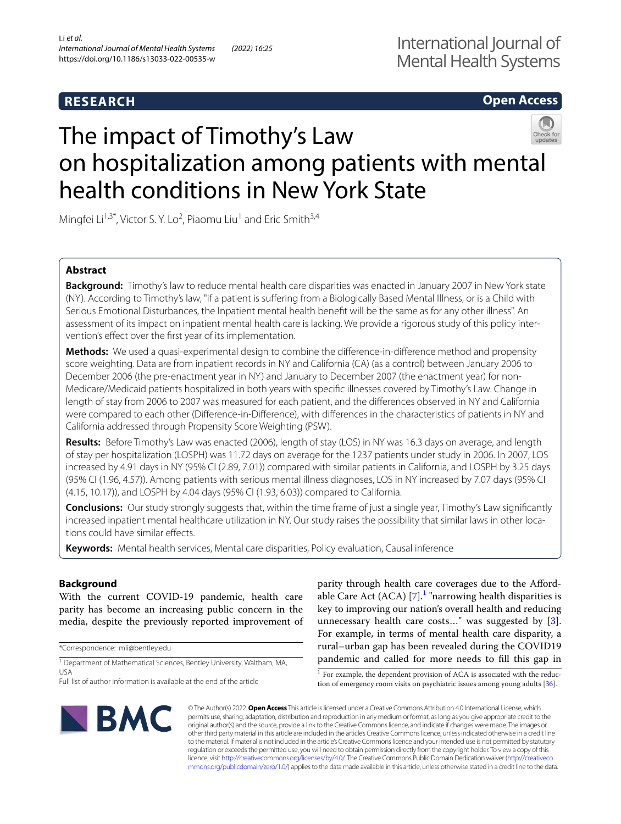# **RESEARCH**

# **Open Access**

# The impact of Timothy's Law on hospitalization among patients with mental health conditions in New York State

Mingfei Li<sup>1,3\*</sup>, Victor S. Y. Lo<sup>2</sup>, Piaomu Liu<sup>1</sup> and Eric Smith<sup>3,4</sup>

# **Abstract**

**Background:** Timothy's law to reduce mental health care disparities was enacted in January 2007 in New York state (NY). According to Timothy's law, "if a patient is sufering from a Biologically Based Mental Illness, or is a Child with Serious Emotional Disturbances, the Inpatient mental health beneft will be the same as for any other illness". An assessment of its impact on inpatient mental health care is lacking. We provide a rigorous study of this policy intervention's efect over the frst year of its implementation.

**Methods:** We used a quasi-experimental design to combine the diference-in-diference method and propensity score weighting. Data are from inpatient records in NY and California (CA) (as a control) between January 2006 to December 2006 (the pre-enactment year in NY) and January to December 2007 (the enactment year) for non-Medicare/Medicaid patients hospitalized in both years with specifc illnesses covered by Timothy's Law. Change in length of stay from 2006 to 2007 was measured for each patient, and the diferences observed in NY and California were compared to each other (Diference-in-Diference), with diferences in the characteristics of patients in NY and California addressed through Propensity Score Weighting (PSW).

**Results:** Before Timothy's Law was enacted (2006), length of stay (LOS) in NY was 16.3 days on average, and length of stay per hospitalization (LOSPH) was 11.72 days on average for the 1237 patients under study in 2006. In 2007, LOS increased by 4.91 days in NY (95% CI (2.89, 7.01)) compared with similar patients in California, and LOSPH by 3.25 days (95% CI (1.96, 4.57)). Among patients with serious mental illness diagnoses, LOS in NY increased by 7.07 days (95% CI (4.15, 10.17)), and LOSPH by 4.04 days (95% CI (1.93, 6.03)) compared to California.

**Conclusions:** Our study strongly suggests that, within the time frame of just a single year, Timothy's Law signifcantly increased inpatient mental healthcare utilization in NY. Our study raises the possibility that similar laws in other locations could have similar effects.

**Keywords:** Mental health services, Mental care disparities, Policy evaluation, Causal inference

# **Background**

With the current COVID-19 pandemic, health care parity has become an increasing public concern in the media, despite the previously reported improvement of

\*Correspondence: mli@bentley.edu

<sup>1</sup> Department of Mathematical Sciences, Bentley University, Waltham, MA, USA

parity through health care coverages due to the Afordable Care Act (ACA)  $[7]$  $[7]$ .<sup>[1](#page-0-0)</sup> "narrowing health disparities is key to improving our nation's overall health and reducing unnecessary health care costs…" was suggested by [\[3](#page-7-0)]. For example, in terms of mental health care disparity, a rural–urban gap has been revealed during the COVID19 pandemic and called for more needs to fll this gap in

<span id="page-0-0"></span> $1$  For example, the dependent provision of ACA is associated with the reduction of emergency room visits on psychiatric issues among young adults [\[36\]](#page-8-1).



© The Author(s) 2022. **Open Access** This article is licensed under a Creative Commons Attribution 4.0 International License, which permits use, sharing, adaptation, distribution and reproduction in any medium or format, as long as you give appropriate credit to the original author(s) and the source, provide a link to the Creative Commons licence, and indicate if changes were made. The images or other third party material in this article are included in the article's Creative Commons licence, unless indicated otherwise in a credit line to the material. If material is not included in the article's Creative Commons licence and your intended use is not permitted by statutory regulation or exceeds the permitted use, you will need to obtain permission directly from the copyright holder. To view a copy of this licence, visit [http://creativecommons.org/licenses/by/4.0/.](http://creativecommons.org/licenses/by/4.0/) The Creative Commons Public Domain Dedication waiver ([http://creativeco](http://creativecommons.org/publicdomain/zero/1.0/) [mmons.org/publicdomain/zero/1.0/](http://creativecommons.org/publicdomain/zero/1.0/)) applies to the data made available in this article, unless otherwise stated in a credit line to the data.

Full list of author information is available at the end of the article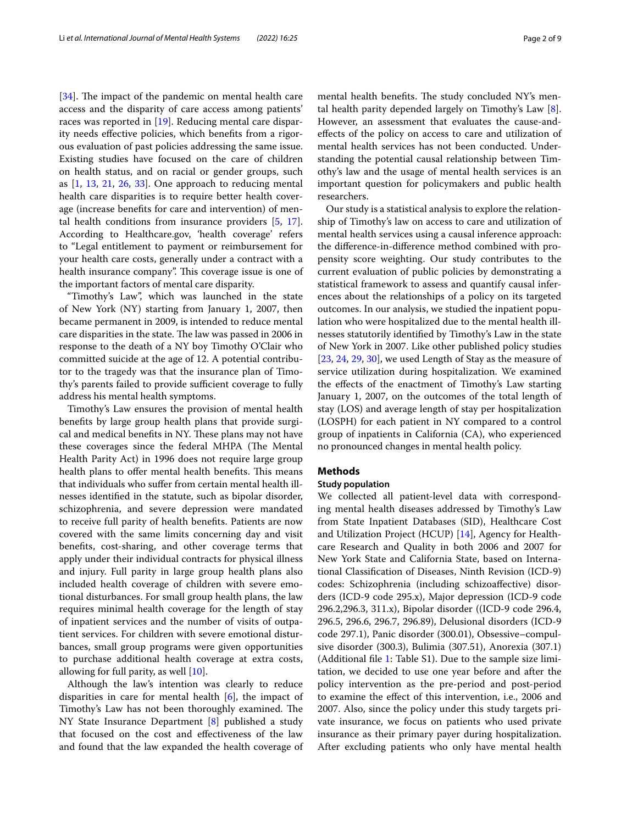$[34]$  $[34]$ . The impact of the pandemic on mental health care access and the disparity of care access among patients' races was reported in [\[19](#page-8-3)]. Reducing mental care disparity needs efective policies, which benefts from a rigorous evaluation of past policies addressing the same issue. Existing studies have focused on the care of children on health status, and on racial or gender groups, such as [[1,](#page-7-1) [13](#page-8-4), [21,](#page-8-5) [26](#page-8-6), [33](#page-8-7)]. One approach to reducing mental health care disparities is to require better health coverage (increase benefts for care and intervention) of mental health conditions from insurance providers [[5,](#page-7-2) [17](#page-8-8)]. According to Healthcare.gov, 'health coverage' refers to "Legal entitlement to payment or reimbursement for your health care costs, generally under a contract with a health insurance company". This coverage issue is one of the important factors of mental care disparity.

"Timothy's Law", which was launched in the state of New York (NY) starting from January 1, 2007, then became permanent in 2009, is intended to reduce mental care disparities in the state. The law was passed in 2006 in response to the death of a NY boy Timothy O'Clair who committed suicide at the age of 12. A potential contributor to the tragedy was that the insurance plan of Timothy's parents failed to provide sufficient coverage to fully address his mental health symptoms.

Timothy's Law ensures the provision of mental health benefts by large group health plans that provide surgical and medical benefits in NY. These plans may not have these coverages since the federal MHPA (The Mental Health Parity Act) in 1996 does not require large group health plans to offer mental health benefits. This means that individuals who sufer from certain mental health illnesses identifed in the statute, such as bipolar disorder, schizophrenia, and severe depression were mandated to receive full parity of health benefts. Patients are now covered with the same limits concerning day and visit benefts, cost-sharing, and other coverage terms that apply under their individual contracts for physical illness and injury. Full parity in large group health plans also included health coverage of children with severe emotional disturbances. For small group health plans, the law requires minimal health coverage for the length of stay of inpatient services and the number of visits of outpatient services. For children with severe emotional disturbances, small group programs were given opportunities to purchase additional health coverage at extra costs, allowing for full parity, as well [\[10\]](#page-8-9).

Although the law's intention was clearly to reduce disparities in care for mental health  $[6]$  $[6]$ , the impact of Timothy's Law has not been thoroughly examined. The NY State Insurance Department [\[8](#page-8-10)] published a study that focused on the cost and efectiveness of the law and found that the law expanded the health coverage of mental health benefits. The study concluded NY's mental health parity depended largely on Timothy's Law [\[8](#page-8-10)]. However, an assessment that evaluates the cause-andefects of the policy on access to care and utilization of mental health services has not been conducted. Understanding the potential causal relationship between Timothy's law and the usage of mental health services is an important question for policymakers and public health researchers.

Our study is a statistical analysis to explore the relationship of Timothy's law on access to care and utilization of mental health services using a causal inference approach: the diference-in-diference method combined with propensity score weighting. Our study contributes to the current evaluation of public policies by demonstrating a statistical framework to assess and quantify causal inferences about the relationships of a policy on its targeted outcomes. In our analysis, we studied the inpatient population who were hospitalized due to the mental health illnesses statutorily identifed by Timothy's Law in the state of New York in 2007. Like other published policy studies [[23,](#page-8-11) [24](#page-8-12), [29,](#page-8-13) [30\]](#page-8-14), we used Length of Stay as the measure of service utilization during hospitalization. We examined the efects of the enactment of Timothy's Law starting January 1, 2007, on the outcomes of the total length of stay (LOS) and average length of stay per hospitalization (LOSPH) for each patient in NY compared to a control group of inpatients in California (CA), who experienced no pronounced changes in mental health policy.

## **Methods**

# **Study population**

We collected all patient-level data with corresponding mental health diseases addressed by Timothy's Law from State Inpatient Databases (SID), Healthcare Cost and Utilization Project (HCUP) [\[14\]](#page-8-15), Agency for Healthcare Research and Quality in both 2006 and 2007 for New York State and California State, based on International Classifcation of Diseases, Ninth Revision (ICD-9) codes: Schizophrenia (including schizoafective) disorders (ICD-9 code 295.x), Major depression (ICD-9 code 296.2,296.3, 311.x), Bipolar disorder ((ICD-9 code 296.4, 296.5, 296.6, 296.7, 296.89), Delusional disorders (ICD-9 code 297.1), Panic disorder (300.01), Obsessive–compulsive disorder (300.3), Bulimia (307.51), Anorexia (307.1) (Additional fle [1](#page-7-4): Table S1). Due to the sample size limitation, we decided to use one year before and after the policy intervention as the pre-period and post-period to examine the efect of this intervention, i.e., 2006 and 2007. Also, since the policy under this study targets private insurance, we focus on patients who used private insurance as their primary payer during hospitalization. After excluding patients who only have mental health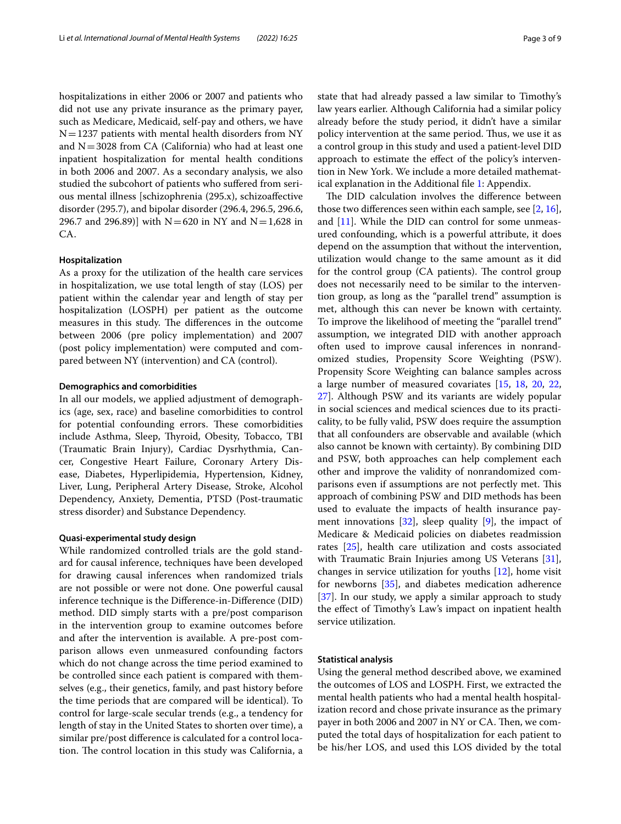hospitalizations in either 2006 or 2007 and patients who did not use any private insurance as the primary payer, such as Medicare, Medicaid, self-pay and others, we have  $N=1237$  patients with mental health disorders from NY and  $N=3028$  from CA (California) who had at least one inpatient hospitalization for mental health conditions in both 2006 and 2007. As a secondary analysis, we also studied the subcohort of patients who sufered from serious mental illness [schizophrenia (295.x), schizoafective disorder (295.7), and bipolar disorder (296.4, 296.5, 296.6, 296.7 and 296.89)] with  $N=620$  in NY and  $N=1,628$  in CA.

# **Hospitalization**

As a proxy for the utilization of the health care services in hospitalization, we use total length of stay (LOS) per patient within the calendar year and length of stay per hospitalization (LOSPH) per patient as the outcome measures in this study. The differences in the outcome between 2006 (pre policy implementation) and 2007 (post policy implementation) were computed and compared between NY (intervention) and CA (control).

## **Demographics and comorbidities**

In all our models, we applied adjustment of demographics (age, sex, race) and baseline comorbidities to control for potential confounding errors. These comorbidities include Asthma, Sleep, Thyroid, Obesity, Tobacco, TBI (Traumatic Brain Injury), Cardiac Dysrhythmia, Cancer, Congestive Heart Failure, Coronary Artery Disease, Diabetes, Hyperlipidemia, Hypertension, Kidney, Liver, Lung, Peripheral Artery Disease, Stroke, Alcohol Dependency, Anxiety, Dementia, PTSD (Post-traumatic stress disorder) and Substance Dependency.

# **Quasi‑experimental study design**

While randomized controlled trials are the gold standard for causal inference, techniques have been developed for drawing causal inferences when randomized trials are not possible or were not done. One powerful causal inference technique is the Diference-in-Diference (DID) method. DID simply starts with a pre/post comparison in the intervention group to examine outcomes before and after the intervention is available. A pre-post comparison allows even unmeasured confounding factors which do not change across the time period examined to be controlled since each patient is compared with themselves (e.g., their genetics, family, and past history before the time periods that are compared will be identical). To control for large-scale secular trends (e.g., a tendency for length of stay in the United States to shorten over time), a similar pre/post diference is calculated for a control location. The control location in this study was California, a state that had already passed a law similar to Timothy's law years earlier. Although California had a similar policy already before the study period, it didn't have a similar policy intervention at the same period. Thus, we use it as a control group in this study and used a patient-level DID approach to estimate the efect of the policy's intervention in New York. We include a more detailed mathematical explanation in the Additional fle [1](#page-7-4): Appendix.

The DID calculation involves the difference between those two diferences seen within each sample, see [\[2,](#page-7-5) [16](#page-8-16)], and [[11](#page-8-17)]. While the DID can control for some unmeasured confounding, which is a powerful attribute, it does depend on the assumption that without the intervention, utilization would change to the same amount as it did for the control group (CA patients). The control group does not necessarily need to be similar to the intervention group, as long as the "parallel trend" assumption is met, although this can never be known with certainty. To improve the likelihood of meeting the "parallel trend" assumption, we integrated DID with another approach often used to improve causal inferences in nonrandomized studies, Propensity Score Weighting (PSW). Propensity Score Weighting can balance samples across a large number of measured covariates [\[15,](#page-8-18) [18](#page-8-19), [20](#page-8-20), [22](#page-8-21), [27\]](#page-8-22). Although PSW and its variants are widely popular in social sciences and medical sciences due to its practicality, to be fully valid, PSW does require the assumption that all confounders are observable and available (which also cannot be known with certainty). By combining DID and PSW, both approaches can help complement each other and improve the validity of nonrandomized comparisons even if assumptions are not perfectly met. This approach of combining PSW and DID methods has been used to evaluate the impacts of health insurance payment innovations [[32\]](#page-8-23), sleep quality [[9\]](#page-8-24), the impact of Medicare & Medicaid policies on diabetes readmission rates [\[25](#page-8-25)], health care utilization and costs associated with Traumatic Brain Injuries among US Veterans [\[31](#page-8-26)], changes in service utilization for youths [[12\]](#page-8-27), home visit for newborns [[35\]](#page-8-28), and diabetes medication adherence [[37\]](#page-8-29). In our study, we apply a similar approach to study the efect of Timothy's Law's impact on inpatient health service utilization.

# **Statistical analysis**

Using the general method described above, we examined the outcomes of LOS and LOSPH. First, we extracted the mental health patients who had a mental health hospitalization record and chose private insurance as the primary payer in both 2006 and 2007 in NY or CA. Then, we computed the total days of hospitalization for each patient to be his/her LOS, and used this LOS divided by the total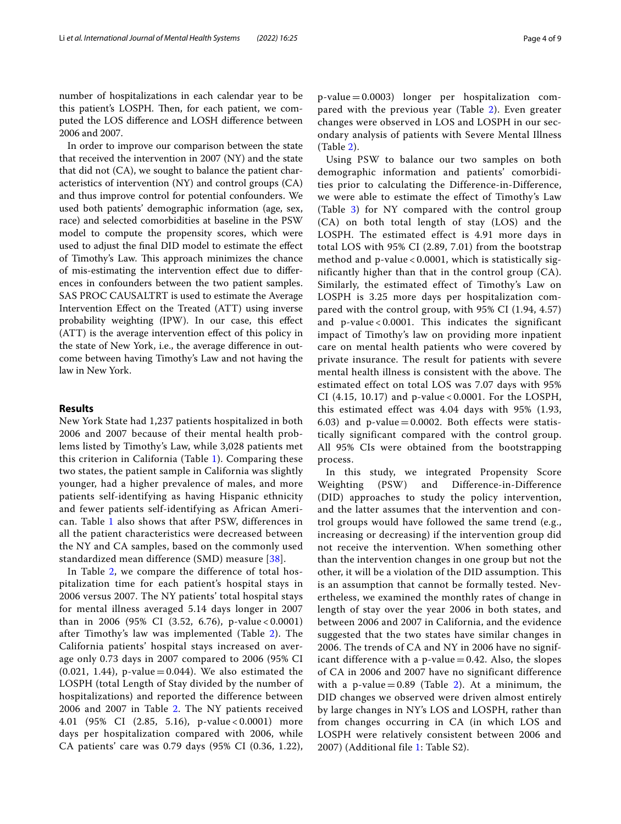number of hospitalizations in each calendar year to be this patient's LOSPH. Then, for each patient, we computed the LOS diference and LOSH diference between 2006 and 2007.

In order to improve our comparison between the state that received the intervention in 2007 (NY) and the state that did not (CA), we sought to balance the patient characteristics of intervention (NY) and control groups (CA) and thus improve control for potential confounders. We used both patients' demographic information (age, sex, race) and selected comorbidities at baseline in the PSW model to compute the propensity scores, which were used to adjust the fnal DID model to estimate the efect of Timothy's Law. This approach minimizes the chance of mis-estimating the intervention efect due to diferences in confounders between the two patient samples. SAS PROC CAUSALTRT is used to estimate the Average Intervention Efect on the Treated (ATT) using inverse probability weighting (IPW). In our case, this efect (ATT) is the average intervention efect of this policy in the state of New York, i.e., the average diference in outcome between having Timothy's Law and not having the law in New York.

# **Results**

New York State had 1,237 patients hospitalized in both 2006 and 2007 because of their mental health problems listed by Timothy's Law, while 3,028 patients met this criterion in California (Table [1](#page-4-0)). Comparing these two states, the patient sample in California was slightly younger, had a higher prevalence of males, and more patients self-identifying as having Hispanic ethnicity and fewer patients self-identifying as African American. Table [1](#page-4-0) also shows that after PSW, differences in all the patient characteristics were decreased between the NY and CA samples, based on the commonly used standardized mean difference (SMD) measure [[38\]](#page-8-30).

In Table [2,](#page-5-0) we compare the difference of total hospitalization time for each patient's hospital stays in 2006 versus 2007. The NY patients' total hospital stays for mental illness averaged 5.14 days longer in 2007 than in 2006 (95% CI (3.52, 6.76), p-value < 0.0001) after Timothy's law was implemented (Table [2\)](#page-5-0). The California patients' hospital stays increased on average only 0.73 days in 2007 compared to 2006 (95% CI  $(0.021, 1.44)$ , p-value = 0.044). We also estimated the LOSPH (total Length of Stay divided by the number of hospitalizations) and reported the difference between 2006 and 2007 in Table [2.](#page-5-0) The NY patients received 4.01 (95% CI (2.85, 5.16), p-value < 0.0001) more days per hospitalization compared with 2006, while CA patients' care was 0.79 days (95% CI (0.36, 1.22),

 $p$ -value  $= 0.0003$ ) longer per hospitalization compared with the previous year (Table [2\)](#page-5-0). Even greater changes were observed in LOS and LOSPH in our secondary analysis of patients with Severe Mental Illness (Table [2](#page-5-0)).

Using PSW to balance our two samples on both demographic information and patients' comorbidities prior to calculating the Difference-in-Difference, we were able to estimate the effect of Timothy's Law (Table [3\)](#page-5-1) for NY compared with the control group (CA) on both total length of stay (LOS) and the LOSPH. The estimated effect is 4.91 more days in total LOS with 95% CI (2.89, 7.01) from the bootstrap method and p-value < 0.0001, which is statistically significantly higher than that in the control group (CA). Similarly, the estimated effect of Timothy's Law on LOSPH is 3.25 more days per hospitalization compared with the control group, with 95% CI (1.94, 4.57) and p-value < 0.0001. This indicates the significant impact of Timothy's law on providing more inpatient care on mental health patients who were covered by private insurance. The result for patients with severe mental health illness is consistent with the above. The estimated effect on total LOS was 7.07 days with 95% CI (4.15, 10.17) and p-value < 0.0001. For the LOSPH, this estimated effect was 4.04 days with 95% (1.93, 6.03) and  $p$ -value = 0.0002. Both effects were statistically significant compared with the control group. All 95% CIs were obtained from the bootstrapping process.

In this study, we integrated Propensity Score Weighting (PSW) and Difference-in-Difference (DID) approaches to study the policy intervention, and the latter assumes that the intervention and control groups would have followed the same trend (e.g., increasing or decreasing) if the intervention group did not receive the intervention. When something other than the intervention changes in one group but not the other, it will be a violation of the DID assumption. This is an assumption that cannot be formally tested. Nevertheless, we examined the monthly rates of change in length of stay over the year 2006 in both states, and between 2006 and 2007 in California, and the evidence suggested that the two states have similar changes in 2006. The trends of CA and NY in 2006 have no significant difference with a  $p$ -value  $= 0.42$ . Also, the slopes of CA in 2006 and 2007 have no significant difference with a p-value =  $0.89$  (Table [2](#page-5-0)). At a minimum, the DID changes we observed were driven almost entirely by large changes in NY's LOS and LOSPH, rather than from changes occurring in CA (in which LOS and LOSPH were relatively consistent between 2006 and 2007) (Additional file [1:](#page-7-4) Table S2).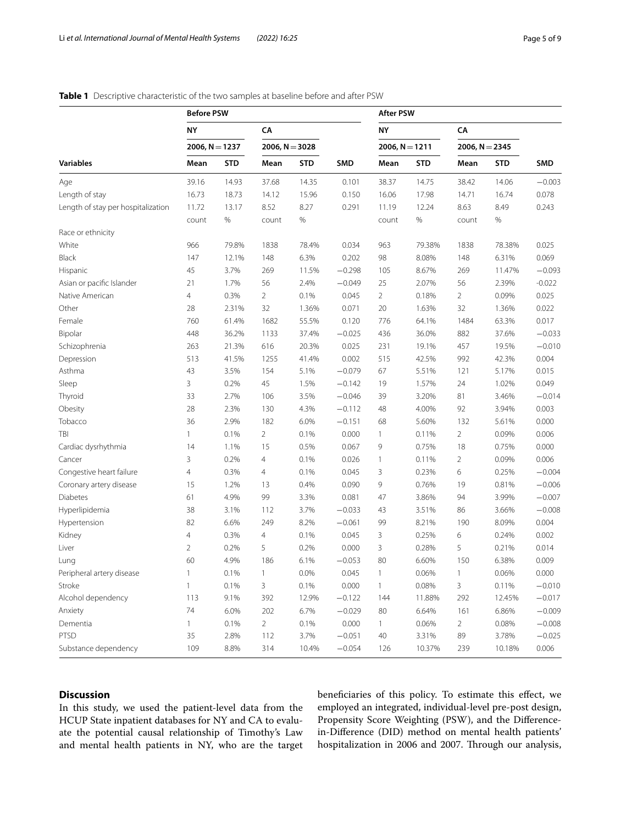# **Before PSW After PSW NY CA NY CA 2006, N**=**1237 2006, N**=**3028 2006, N**=**1211 2006, N**=**2345 Variables Mean STD Mean STD SMD Mean STD Mean STD SMD** Age 39.16 14.93 37.68 14.35 0.101 38.37 14.75 38.42 14.06 −0.003 Length of stay 16.73 18.73 14.12 15.96 0.150 16.06 17.98 14.71 16.74 0.078 Length of stay per hospitalization 11.72 13.17 8.52 8.27 0.291 11.19 12.24 8.63 8.49 0.243 count % count % count % count % Race or ethnicity White 966 79.8% 1838 78.4% 0.034 963 79.38% 1838 78.38% 0.025 Black 147 12.1% 148 6.3% 0.202 98 8.08% 148 6.31% 0.069 Hispanic 45 3.7% 269 11.5% −0.298 105 8.67% 269 11.47% −0.093 Asian or pacifc Islander 21 1.7% 56 2.4% −0.049 25 2.07% 56 2.39% -0.022 Native American 4 0.3% 2 0.1% 0.045 2 0.18% 2 0.09% 0.025 Other 28 2.31% 32 1.36% 0.071 20 1.63% 32 1.36% 0.022 Female 760 61.4% 1682 55.5% 0.120 776 64.1% 1484 63.3% 0.017 Bipolar 448 36.2% 1133 37.4% −0.025 436 36.0% 882 37.6% −0.033 Schizophrenia 263 21.3% 616 20.3% 0.025 231 19.1% 457 19.5% −0.010 Depression 513 41.5% 1255 41.4% 0.002 515 42.5% 992 42.3% 0.004 Asthma 43 3.5% 154 5.1% −0.079 67 5.51% 121 5.17% 0.015 Sleep 3 0.2% 45 1.5% −0.142 19 1.57% 24 1.02% 0.049 Thyroid 33 2.7% 106 3.5% −0.046 39 3.20% 81 3.46% −0.014 Obesity 28 2.3% 130 4.3% −0.112 48 4.00% 92 3.94% 0.003 Tobacco 36 2.9% 182 6.0% −0.151 68 5.60% 132 5.61% 0.000 TBI 1 0.1% 2 0.1% 0.000 1 0.11% 2 0.09% 0.006 Cardiac dysrhythmia 14 1.1% 15 0.5% 0.067 9 0.75% 18 0.75% 0.000 Cancer 3 0.2% 4 0.1% 0.026 1 0.11% 2 0.09% 0.006 Congestive heart failure 4 0.3% 4 0.1% 0.045 3 0.23% 6 0.25% −0.004 Coronary artery disease 15 1.2% 13 0.4% 0.090 9 0.76% 19 0.81% −0.006 Diabetes 61 4.9% 99 3.3% 0.081 47 3.86% 94 3.99% −0.007 Hyperlipidemia 38 3.1% 112 3.7% −0.033 43 3.51% 86 3.66% −0.008 Hypertension 82 6.6% 249 8.2% −0.061 99 8.21% 190 8.09% 0.004 Kidney 4 0.3% 4 0.1% 0.045 3 0.25% 6 0.24% 0.002 Liver 2 0.2% 5 0.2% 0.000 3 0.28% 5 0.21% 0.014 Lung 60 4.9% 186 6.1% −0.053 80 6.60% 150 6.38% 0.009 Peripheral artery disease  $1$  0.1% 1 0.0% 0.045 1 0.06% 1 0.06% 0.000 Stroke 1 1 0.1% 3 0.1% 0.000 1 0.08% 3 0.11% −0.010 Alcohol dependency 113 9.1% 392 12.9% −0.122 144 11.88% 292 12.45% −0.017 Anxiety 74 6.0% 202 6.7% −0.029 80 6.64% 161 6.86% −0.009 Dementia 1 0.1% 2 0.1% 0.000 1 0.06% 2 0.08% −0.008 PTSD 35 2.8% 112 3.7% −0.051 40 3.31% 89 3.78% −0.025 Substance dependency 109 8.8% 314 10.4% −0.054 126 10.37% 239 10.18% 0.006

# <span id="page-4-0"></span>**Table 1** Descriptive characteristic of the two samples at baseline before and after PSW

# **Discussion**

In this study, we used the patient-level data from the HCUP State inpatient databases for NY and CA to evaluate the potential causal relationship of Timothy's Law and mental health patients in NY, who are the target benefciaries of this policy. To estimate this efect, we employed an integrated, individual-level pre-post design, Propensity Score Weighting (PSW), and the Diferencein-Diference (DID) method on mental health patients' hospitalization in 2006 and 2007. Through our analysis,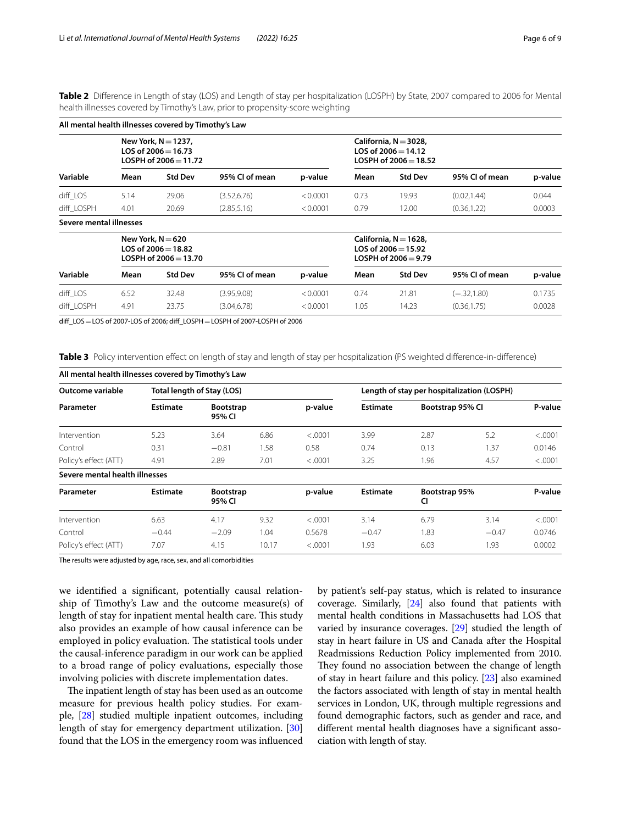<span id="page-5-0"></span>**Table 2** Diference in Length of stay (LOS) and Length of stay per hospitalization (LOSPH) by State, 2007 compared to 2006 for Mental health illnesses covered by Timothy's Law, prior to propensity-score weighting

| All mental health illnesses covered by Timothy's Law                       |                         |                |          |                                                                              |                |                |         |  |  |  |  |  |
|----------------------------------------------------------------------------|-------------------------|----------------|----------|------------------------------------------------------------------------------|----------------|----------------|---------|--|--|--|--|--|
| New York, $N = 1237$ ,<br>LOS of $2006 = 16.73$<br>LOSPH of $2006 = 11.72$ |                         |                |          | California, $N = 3028$ ,<br>LOS of $2006 = 14.12$<br>LOSPH of $2006 = 18.52$ |                |                |         |  |  |  |  |  |
| Mean                                                                       | <b>Std Dev</b>          | 95% CI of mean | p-value  | Mean                                                                         | <b>Std Dev</b> | 95% CI of mean | p-value |  |  |  |  |  |
| 5.14                                                                       | 29.06                   | (3.52, 6.76)   | < 0.0001 | 0.73                                                                         | 19.93          | (0.02, 1.44)   | 0.044   |  |  |  |  |  |
| 4.01                                                                       | 20.69                   | (2.85, 5.16)   | < 0.0001 | 0.79                                                                         | 12.00          | (0.36, 1.22)   | 0.0003  |  |  |  |  |  |
|                                                                            |                         |                |          |                                                                              |                |                |         |  |  |  |  |  |
| New York, $N = 620$<br>LOS of $2006 = 18.82$<br>$LOSPH of 2006 = 13.70$    |                         |                |          | California, $N = 1628$ ,<br>LOS of $2006 = 15.92$<br>LOSPH of $2006 = 9.79$  |                |                |         |  |  |  |  |  |
| Mean                                                                       | <b>Std Dev</b>          | 95% CI of mean | p-value  | Mean                                                                         | <b>Std Dev</b> | 95% CI of mean | p-value |  |  |  |  |  |
| 6.52                                                                       | 32.48                   | (3.95, 9.08)   | < 0.0001 | 0.74                                                                         | 21.81          | $(-.32, 1.80)$ | 0.1735  |  |  |  |  |  |
| 4.91                                                                       | 23.75                   | (3.04, 6.78)   | < 0.0001 | 1.05                                                                         | 14.23          | (0.36, 1.75)   | 0.0028  |  |  |  |  |  |
|                                                                            | Severe mental illnesses |                |          |                                                                              |                |                |         |  |  |  |  |  |

dif\_LOS=LOS of 2007-LOS of 2006; dif\_LOSPH=LOSPH of 2007-LOSPH of 2006

<span id="page-5-1"></span>**Table 3** Policy intervention effect on length of stay and length of stay per hospitalization (PS weighted difference-in-difference)

| All mental health illnesses covered by Timothy's Law |                         |                            |       |         |                                            |                  |               |          |  |  |  |  |
|------------------------------------------------------|-------------------------|----------------------------|-------|---------|--------------------------------------------|------------------|---------------|----------|--|--|--|--|
| Outcome variable<br>Parameter<br>Intervention        |                         | Total length of Stay (LOS) |       |         | Length of stay per hospitalization (LOSPH) |                  |               |          |  |  |  |  |
|                                                      | <b>Estimate</b><br>5.23 | <b>Bootstrap</b><br>95% CI |       | p-value | <b>Estimate</b>                            | Bootstrap 95% CI |               | P-value  |  |  |  |  |
|                                                      |                         | 3.64                       | 6.86  | < .0001 | 3.99                                       | 2.87             | 5.2           | < .0001  |  |  |  |  |
| Control                                              | 0.31                    | $-0.81$                    | 1.58  | 0.58    | 0.74                                       | 0.13             | 1.37          | 0.0146   |  |  |  |  |
| Policy's effect (ATT)                                | 4.91                    | 2.89                       | 7.01  | < .0001 | 3.25                                       | 1.96             | 4.57          | < .0001  |  |  |  |  |
| Severe mental health illnesses                       |                         |                            |       |         |                                            |                  |               |          |  |  |  |  |
| Parameter                                            | <b>Estimate</b>         | <b>Bootstrap</b><br>95% CI |       | p-value | <b>Estimate</b><br>CI                      |                  | Bootstrap 95% |          |  |  |  |  |
| Intervention                                         | 6.63                    | 4.17                       | 9.32  | < .0001 | 3.14                                       | 6.79             | 3.14          | < 0.0001 |  |  |  |  |
| Control                                              | $-0.44$                 | $-2.09$                    | 1.04  | 0.5678  | $-0.47$                                    | 1.83             | $-0.47$       | 0.0746   |  |  |  |  |
| Policy's effect (ATT)                                | 7.07                    | 4.15                       | 10.17 | < .0001 | 1.93                                       | 6.03             | 1.93          | 0.0002   |  |  |  |  |

The results were adjusted by age, race, sex, and all comorbidities

we identifed a signifcant, potentially causal relationship of Timothy's Law and the outcome measure(s) of length of stay for inpatient mental health care. This study also provides an example of how causal inference can be employed in policy evaluation. The statistical tools under the causal-inference paradigm in our work can be applied to a broad range of policy evaluations, especially those involving policies with discrete implementation dates.

The inpatient length of stay has been used as an outcome measure for previous health policy studies. For example, [\[28\]](#page-8-31) studied multiple inpatient outcomes, including length of stay for emergency department utilization. [[30](#page-8-14)] found that the LOS in the emergency room was infuenced by patient's self-pay status, which is related to insurance coverage. Similarly, [\[24\]](#page-8-12) also found that patients with mental health conditions in Massachusetts had LOS that varied by insurance coverages. [\[29\]](#page-8-13) studied the length of stay in heart failure in US and Canada after the Hospital Readmissions Reduction Policy implemented from 2010. They found no association between the change of length of stay in heart failure and this policy. [\[23\]](#page-8-11) also examined the factors associated with length of stay in mental health services in London, UK, through multiple regressions and found demographic factors, such as gender and race, and diferent mental health diagnoses have a signifcant association with length of stay.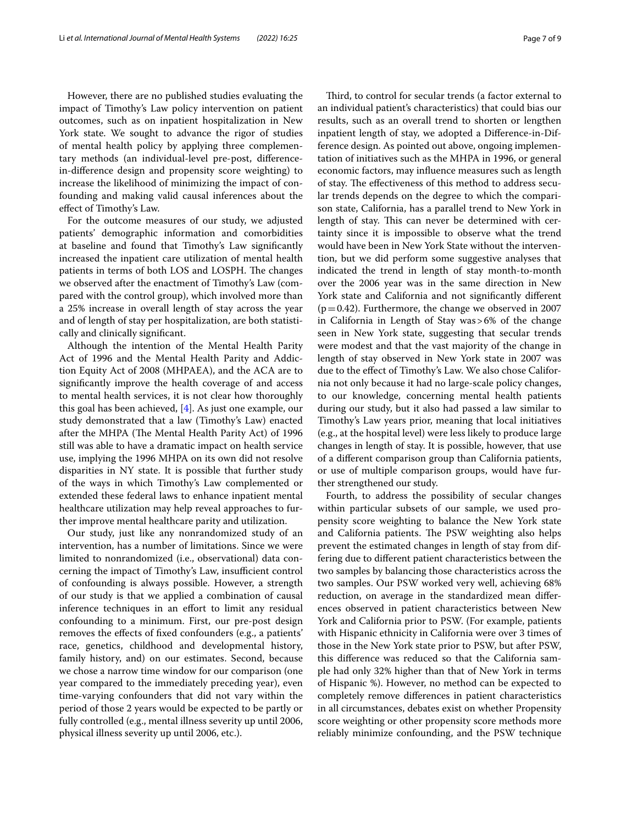However, there are no published studies evaluating the impact of Timothy's Law policy intervention on patient outcomes, such as on inpatient hospitalization in New York state. We sought to advance the rigor of studies of mental health policy by applying three complementary methods (an individual-level pre-post, diferencein-diference design and propensity score weighting) to increase the likelihood of minimizing the impact of confounding and making valid causal inferences about the efect of Timothy's Law.

For the outcome measures of our study, we adjusted patients' demographic information and comorbidities at baseline and found that Timothy's Law signifcantly increased the inpatient care utilization of mental health patients in terms of both LOS and LOSPH. The changes we observed after the enactment of Timothy's Law (compared with the control group), which involved more than a 25% increase in overall length of stay across the year and of length of stay per hospitalization, are both statistically and clinically signifcant.

Although the intention of the Mental Health Parity Act of 1996 and the Mental Health Parity and Addiction Equity Act of 2008 (MHPAEA), and the ACA are to signifcantly improve the health coverage of and access to mental health services, it is not clear how thoroughly this goal has been achieved, [\[4](#page-7-6)]. As just one example, our study demonstrated that a law (Timothy's Law) enacted after the MHPA (The Mental Health Parity Act) of 1996 still was able to have a dramatic impact on health service use, implying the 1996 MHPA on its own did not resolve disparities in NY state. It is possible that further study of the ways in which Timothy's Law complemented or extended these federal laws to enhance inpatient mental healthcare utilization may help reveal approaches to further improve mental healthcare parity and utilization.

Our study, just like any nonrandomized study of an intervention, has a number of limitations. Since we were limited to nonrandomized (i.e., observational) data concerning the impact of Timothy's Law, insufficient control of confounding is always possible. However, a strength of our study is that we applied a combination of causal inference techniques in an effort to limit any residual confounding to a minimum. First, our pre-post design removes the efects of fxed confounders (e.g., a patients' race, genetics, childhood and developmental history, family history, and) on our estimates. Second, because we chose a narrow time window for our comparison (one year compared to the immediately preceding year), even time-varying confounders that did not vary within the period of those 2 years would be expected to be partly or fully controlled (e.g., mental illness severity up until 2006, physical illness severity up until 2006, etc.).

Third, to control for secular trends (a factor external to an individual patient's characteristics) that could bias our results, such as an overall trend to shorten or lengthen inpatient length of stay, we adopted a Diference-in-Difference design. As pointed out above, ongoing implementation of initiatives such as the MHPA in 1996, or general economic factors, may infuence measures such as length of stay. The effectiveness of this method to address secular trends depends on the degree to which the comparison state, California, has a parallel trend to New York in length of stay. This can never be determined with certainty since it is impossible to observe what the trend would have been in New York State without the intervention, but we did perform some suggestive analyses that indicated the trend in length of stay month-to-month over the 2006 year was in the same direction in New York state and California and not signifcantly diferent  $(p=0.42)$ . Furthermore, the change we observed in 2007 in California in Length of Stay was>6% of the change seen in New York state, suggesting that secular trends were modest and that the vast majority of the change in length of stay observed in New York state in 2007 was due to the efect of Timothy's Law. We also chose California not only because it had no large-scale policy changes, to our knowledge, concerning mental health patients during our study, but it also had passed a law similar to Timothy's Law years prior, meaning that local initiatives (e.g., at the hospital level) were less likely to produce large changes in length of stay. It is possible, however, that use of a diferent comparison group than California patients, or use of multiple comparison groups, would have further strengthened our study.

Fourth, to address the possibility of secular changes within particular subsets of our sample, we used propensity score weighting to balance the New York state and California patients. The PSW weighting also helps prevent the estimated changes in length of stay from differing due to diferent patient characteristics between the two samples by balancing those characteristics across the two samples. Our PSW worked very well, achieving 68% reduction, on average in the standardized mean diferences observed in patient characteristics between New York and California prior to PSW. (For example, patients with Hispanic ethnicity in California were over 3 times of those in the New York state prior to PSW, but after PSW, this diference was reduced so that the California sample had only 32% higher than that of New York in terms of Hispanic %). However, no method can be expected to completely remove diferences in patient characteristics in all circumstances, debates exist on whether Propensity score weighting or other propensity score methods more reliably minimize confounding, and the PSW technique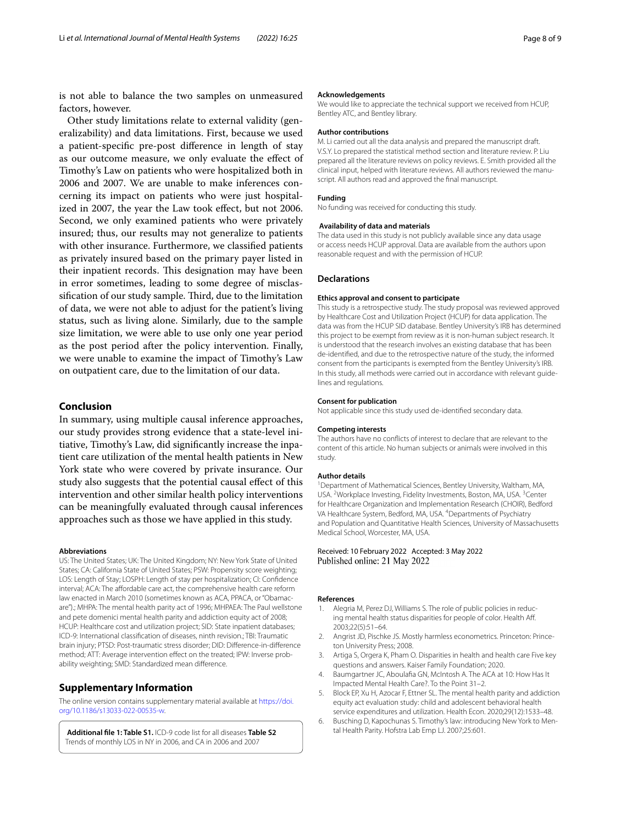is not able to balance the two samples on unmeasured factors, however.

Other study limitations relate to external validity (generalizability) and data limitations. First, because we used a patient-specifc pre-post diference in length of stay as our outcome measure, we only evaluate the efect of Timothy's Law on patients who were hospitalized both in 2006 and 2007. We are unable to make inferences concerning its impact on patients who were just hospitalized in 2007, the year the Law took effect, but not 2006. Second, we only examined patients who were privately insured; thus, our results may not generalize to patients with other insurance. Furthermore, we classifed patients as privately insured based on the primary payer listed in their inpatient records. This designation may have been in error sometimes, leading to some degree of misclassification of our study sample. Third, due to the limitation of data, we were not able to adjust for the patient's living status, such as living alone. Similarly, due to the sample size limitation, we were able to use only one year period as the post period after the policy intervention. Finally, we were unable to examine the impact of Timothy's Law on outpatient care, due to the limitation of our data.

# **Conclusion**

In summary, using multiple causal inference approaches, our study provides strong evidence that a state-level initiative, Timothy's Law, did signifcantly increase the inpatient care utilization of the mental health patients in New York state who were covered by private insurance. Our study also suggests that the potential causal efect of this intervention and other similar health policy interventions can be meaningfully evaluated through causal inferences approaches such as those we have applied in this study.

#### **Abbreviations**

US: The United States; UK: The United Kingdom; NY: New York State of United States; CA: California State of United States; PSW: Propensity score weighting; LOS: Length of Stay; LOSPH: Length of stay per hospitalization; CI: Confdence interval: ACA: The affordable care act, the comprehensive health care reform law enacted in March 2010 (sometimes known as ACA, PPACA, or "Obamacare").; MHPA: The mental health parity act of 1996; MHPAEA: The Paul wellstone and pete domenici mental health parity and addiction equity act of 2008; HCUP: Healthcare cost and utilization project; SID: State inpatient databases; ICD-9: International classifcation of diseases, ninth revision.; TBI: Traumatic brain injury; PTSD: Post-traumatic stress disorder; DID: Diference-in-diference method; ATT: Average intervention efect on the treated; IPW: Inverse probability weighting; SMD: Standardized mean diference.

# **Supplementary Information**

The online version contains supplementary material available at [https://doi.](https://doi.org/10.1186/s13033-022-00535-w) [org/10.1186/s13033-022-00535-w.](https://doi.org/10.1186/s13033-022-00535-w)

<span id="page-7-4"></span>**Additional fle 1: Table S1.** ICD-9 code list for all diseases **Table S2** Trends of monthly LOS in NY in 2006, and CA in 2006 and 2007

## **Acknowledgements**

We would like to appreciate the technical support we received from HCUP, Bentley ATC, and Bentley library.

#### **Author contributions**

M. Li carried out all the data analysis and prepared the manuscript draft. V.S.Y. Lo prepared the statistical method section and literature review. P. Liu prepared all the literature reviews on policy reviews. E. Smith provided all the clinical input, helped with literature reviews. All authors reviewed the manuscript. All authors read and approved the fnal manuscript.

## **Funding**

No funding was received for conducting this study.

#### **Availability of data and materials**

The data used in this study is not publicly available since any data usage or access needs HCUP approval. Data are available from the authors upon reasonable request and with the permission of HCUP.

#### **Declarations**

#### **Ethics approval and consent to participate**

This study is a retrospective study. The study proposal was reviewed approved by Healthcare Cost and Utilization Project (HCUP) for data application. The data was from the HCUP SID database. Bentley University's IRB has determined this project to be exempt from review as it is non-human subject research. It is understood that the research involves an existing database that has been de-identifed, and due to the retrospective nature of the study, the informed consent from the participants is exempted from the Bentley University's IRB. In this study, all methods were carried out in accordance with relevant guidelines and regulations.

#### **Consent for publication**

Not applicable since this study used de-identifed secondary data.

#### **Competing interests**

The authors have no conficts of interest to declare that are relevant to the content of this article. No human subjects or animals were involved in this study.

#### **Author details**

<sup>1</sup> Department of Mathematical Sciences, Bentley University, Waltham, MA, USA. <sup>2</sup> Workplace Investing, Fidelity Investments, Boston, MA, USA. <sup>3</sup> Center for Healthcare Organization and Implementation Research (CHOIR), Bedford VA Healthcare System, Bedford, MA, USA. <sup>4</sup>Departments of Psychiatry and Population and Quantitative Health Sciences, University of Massachusetts Medical School, Worcester, MA, USA.

## Received: 10 February 2022 Accepted: 3 May 2022 Published online: 21 May 2022

#### **References**

- <span id="page-7-1"></span>Alegria M, Perez DJ, Williams S. The role of public policies in reducing mental health status disparities for people of color. Health Af. 2003;22(5):51–64.
- <span id="page-7-5"></span>2. Angrist JD, Pischke JS. Mostly harmless econometrics. Princeton: Princeton University Press; 2008.
- <span id="page-7-0"></span>3. Artiga S, Orgera K, Pham O. Disparities in health and health care Five key questions and answers. Kaiser Family Foundation; 2020.
- <span id="page-7-6"></span>4. Baumgartner JC, Aboulafa GN, McIntosh A. The ACA at 10: How Has It Impacted Mental Health Care?. To the Point 31–2.
- <span id="page-7-2"></span>5. Block EP, Xu H, Azocar F, Ettner SL. The mental health parity and addiction equity act evaluation study: child and adolescent behavioral health service expenditures and utilization. Health Econ. 2020;29(12):1533–48.
- <span id="page-7-3"></span>6. Busching D, Kapochunas S. Timothy's law: introducing New York to Mental Health Parity. Hofstra Lab Emp LJ. 2007;25:601.